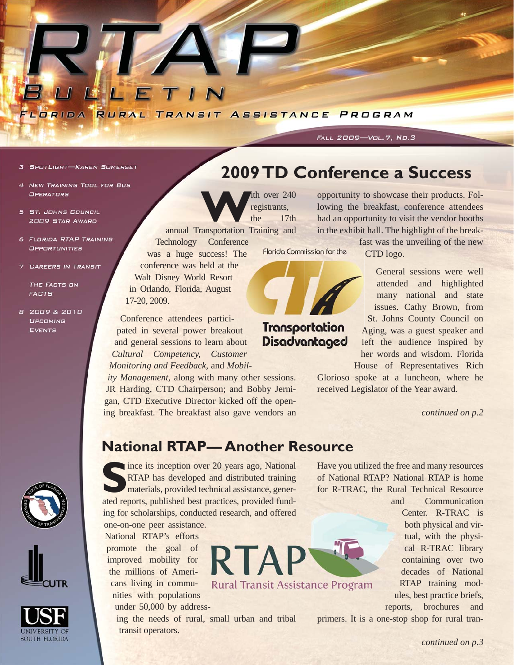

#### 3 SPOTLIGHT-KAREN SOMERSET

- 4 NEW TRAINING TOOL FOR BUS OPERATORS
- 5 ST. JOHNS COUNCIL **2009 STAR AWARD**
- 6 FLORIDA RTAP TRAINING **OPPORTUNITIES**
- 7 CAREERS IN TRANSIT

THE FACTS ON **FACTS** 

8 2009 & 2010 **UPCOMING EVENTS** 



FALL 2009-Vol. 7, No. 3

The over 240<br>
The 17th<br>
The 17th<br>
The 17th registrants, the 17th

annual Transportation Training and Technology Conference Florida Commission for the was a huge success! The conference was held at the

Walt Disney World Resort in Orlando, Florida, August 17-20, 2009.

Conference attendees participated in several power breakout and general sessions to learn about *Cultural Competency, Customer Monitoring and Feedback,* and *Mobil-*

*ity Management*, along with many other sessions. JR Harding, CTD Chairperson; and Bobby Jernigan, CTD Executive Director kicked off the opening breakfast. The breakfast also gave vendors an *continued on p.2*

opportunity to showcase their products. Following the breakfast, conference attendees had an opportunity to visit the vendor booths in the exhibit hall. The highlight of the break-

> fast was the unveiling of the new CTD logo.

> General sessions were well attended and highlighted many national and state issues. Cathy Brown, from St. Johns County Council on Aging, was a guest speaker and A left the audience inspired by l her words and wisdom. Florida House of Representatives Rich

Glorioso spoke at a luncheon, where he received Legislator of the Year award.

### **National RTAP— Another Resource**

**RTA** 

**Rural Transit Assistance Program** 





ince its inception over 20 years ago, National RTAP has developed and distributed training materials, provided technical assistance, generated reports, published best practices, provided funding for scholarships, conducted research, and offered one-on-one peer assistance.

National RTAP's efforts promote the goal of improved mobility for the millions of Americans living in communities with populations

under 50,000 by address-

ing the needs of rural, small urban and tribal transit operators.

Have you utilized the free and many resources of National RTAP? National RTAP is home for R-TRAC, the Rural Technical Resource

> and Communication Center. R-TRAC is both physical and virtual, with the physical R-TRAC library containing over two decades of National RTAP training modules, best practice briefs, reports, brochures and

primers. It is a one-stop shop for rural tran-

## Transportation Disadvantaged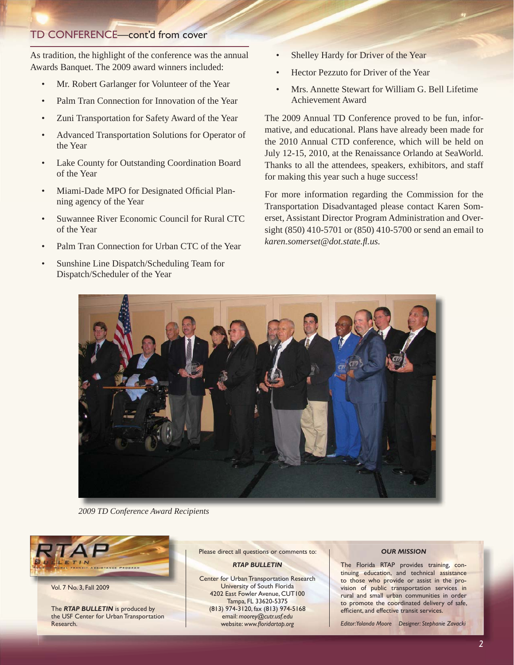### TD CONFERENCE—cont'd from cover

As tradition, the highlight of the conference was the annual Awards Banquet. The 2009 award winners included:

- Mr. Robert Garlanger for Volunteer of the Year
- Palm Tran Connection for Innovation of the Year
- Zuni Transportation for Safety Award of the Year
- Advanced Transportation Solutions for Operator of the Year
- Lake County for Outstanding Coordination Board of the Year
- Miami-Dade MPO for Designated Official Planning agency of the Year
- Suwannee River Economic Council for Rural CTC of the Year
- Palm Tran Connection for Urban CTC of the Year
- Sunshine Line Dispatch/Scheduling Team for Dispatch/Scheduler of the Year
- Shelley Hardy for Driver of the Year
- Hector Pezzuto for Driver of the Year
- Mrs. Annette Stewart for William G. Bell Lifetime Achievement Award

The 2009 Annual TD Conference proved to be fun, informative, and educational. Plans have already been made for the 2010 Annual CTD conference, which will be held on July 12-15, 2010, at the Renaissance Orlando at SeaWorld. Thanks to all the attendees, speakers, exhibitors, and staff for making this year such a huge success!

For more information regarding the Commission for the Transportation Disadvantaged please contact Karen Somerset, Assistant Director Program Administration and Oversight (850) 410-5701 or (850) 410-5700 or send an email to *[karen.somerset@dot.state.](mailto:karen.somerset@dot.state.fl.us)fl .us.*



*2009 TD Conference Award Recipients*



Vol. 7 No. 3, Fall 2009

The *RTAP BULLETIN* is produced by the USF Center for Urban Transportation Research.

Please direct all questions or comments to:

#### *RTAP BULLETIN*

Center for Urban Transportation Research University of South Florida 4202 East Fowler Avenue, CUT100 Tampa, FL 33620-5375 (813) 974-3120, fax (813) 974-5168 email: *[moorey@cutr.usf.edu](mailto:moorey@cutr.usf.edu)* website: www.floridartap.org

#### *OUR MISSION*

The Florida RTAP provides training, continuing education, and technical assistance to those who provide or assist in the provision of public transportation services in rural and small urban communities in order to promote the coordinated delivery of safe, efficient, and effective transit services.

*Editor: Yolanda Moore Designer: Stephanie Zavacki*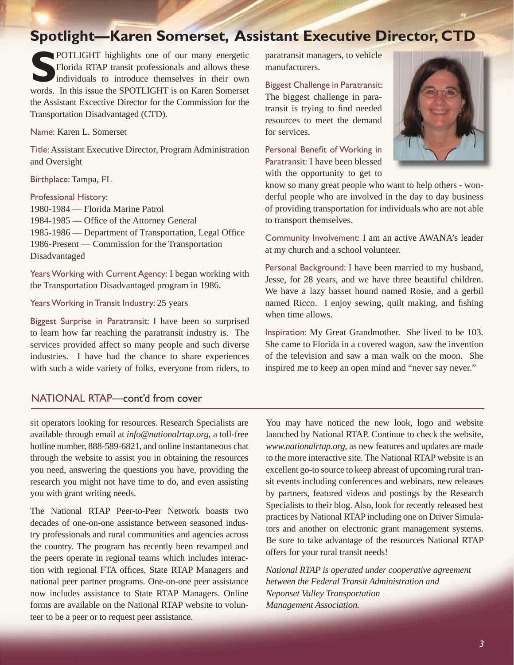## **Spotlight—Karen Somerset, Assistant Executive Director, CTD**

**S**POTLIGHT highlights one of our many energetic Florida RTAP transit professionals and allows these individuals to introduce themselves in their own words. In this issue the SPOTLIGHT is on Karen Somerset the Assistant Excective Director for the Commission for the Transportation Disadvantaged (CTD).

Name: Karen L. Somerset

Title: Assistant Executive Director, Program Administration and Oversight

Birthplace: Tampa, FL

#### Professional History:

1980-1984 — Florida Marine Patrol 1984-1985 — Office of the Attorney General 1985-1986 — Department of Transportation, Legal Office 1986-Present — Commission for the Transportation Disadvantaged

Years Working with Current Agency: I began working with the Transportation Disadvantaged program in 1986.

Years Working in Transit Industry: 25 years

Biggest Surprise in Paratransit: I have been so surprised to learn how far reaching the paratransit industry is. The services provided affect so many people and such diverse industries. I have had the chance to share experiences with such a wide variety of folks, everyone from riders, to

### NATIONAL RTAP—cont'd from cover

sit operators looking for resources. Research Specialists are available through email at *[info@nationalrtap.org](mailto:info@nationalrtap.org)*, a toll-free hotline number, 888-589-6821, and online instantaneous chat through the website to assist you in obtaining the resources you need, answering the questions you have, providing the research you might not have time to do, and even assisting you with grant writing needs.

The National RTAP Peer-to-Peer Network boasts two decades of one-on-one assistance between seasoned industry professionals and rural communities and agencies across the country. The program has recently been revamped and the peers operate in regional teams which includes interaction with regional FTA offices, State RTAP Managers and national peer partner programs. One-on-one peer assistance now includes assistance to State RTAP Managers. Online forms are available on the National RTAP website to volunteer to be a peer or to request peer assistance.

paratransit managers, to vehicle manufacturers.

Biggest Challenge in Paratransit: The biggest challenge in paratransit is trying to find needed resources to meet the demand for services.

Personal Benefit of Working in Paratransit: I have been blessed with the opportunity to get to



know so many great people who want to help others - wonderful people who are involved in the day to day business of providing transportation for individuals who are not able to transport themselves.

Community Involvement: I am an active AWANA's leader at my church and a school volunteer.

Personal Background: I have been married to my husband, Jesse, for 28 years, and we have three beautiful children. We have a lazy basset hound named Rosie, and a gerbil named Ricco. I enjoy sewing, quilt making, and fishing when time allows.

Inspiration: My Great Grandmother. She lived to be 103. She came to Florida in a covered wagon, saw the invention of the television and saw a man walk on the moon. She inspired me to keep an open mind and "never say never."

You may have noticed the new look, logo and website launched by National RTAP. Continue to check the website, *[www.nationalrtap.org](http://www.nationalrtap.org)*, as new features and updates are made to the more interactive site. The National RTAP website is an excellent go-to source to keep abreast of upcoming rural transit events including conferences and webinars, new releases by partners, featured videos and postings by the Research Specialists to their blog. Also, look for recently released best practices by National RTAP including one on Driver Simulators and another on electronic grant management systems. Be sure to take advantage of the resources National RTAP offers for your rural transit needs!

*National RTAP is operated under cooperative agreement between the Federal Transit Administration and Neponset Valley Transportation Management Association.*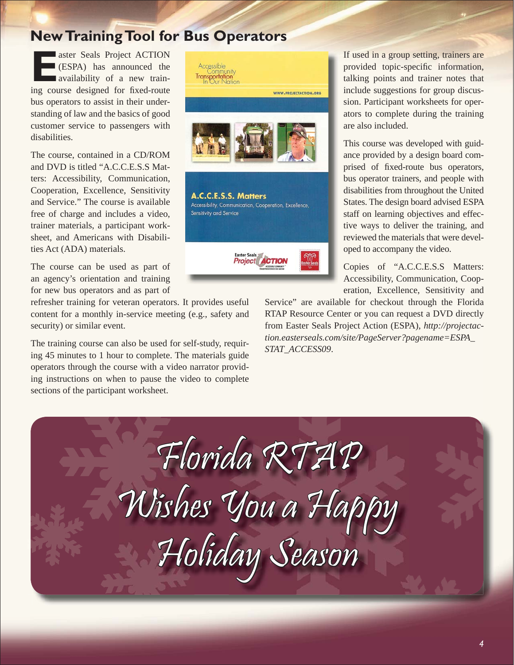# **New Training Tool for Bus Operators**

aster Seals Project ACTION (ESPA) has announced the availability of a new training course designed for fixed-route bus operators to assist in their understanding of law and the basics of good customer service to passengers with disabilities.

The course, contained in a CD/ROM and DVD is titled "A.C.C.E.S.S Matters: Accessibility, Communication, Cooperation, Excellence, Sensitivity and Service." The course is available free of charge and includes a video, trainer materials, a participant worksheet, and Americans with Disabilities Act (ADA) materials.

The course can be used as part of an agency's orientation and training for new bus operators and as part of

refresher training for veteran operators. It provides useful content for a monthly in-service meeting (e.g., safety and security) or similar event.

The training course can also be used for self-study, requiring 45 minutes to 1 hour to complete. The materials guide operators through the course with a video narrator providing instructions on when to pause the video to complete sections of the participant worksheet.



If used in a group setting, trainers are provided topic-specific information, talking points and trainer notes that include suggestions for group discussion. Participant worksheets for operators to complete during the training are also included.

This course was developed with guidance provided by a design board comprised of fixed-route bus operators, bus operator trainers, and people with disabilities from throughout the United States. The design board advised ESPA staff on learning objectives and effective ways to deliver the training, and reviewed the materials that were developed to accompany the video.

Copies of "A.C.C.E.S.S Matters: Accessibility, Communication, Cooperation, Excellence, Sensitivity and

Service" are available for checkout through the Florida RTAP Resource Center or you can request a DVD directly from Easter Seals Project Action (ESPA), *[http://projectac](http://projectaction.easterseals.com/site/PageServer?pagename=ESPA_STAT_ACCESS09)[tion.easterseals.com/site/PageServer?pagename=ESPA\\_](http://projectaction.easterseals.com/site/PageServer?pagename=ESPA_STAT_ACCESS09) STAT\_ACCESS09*.

Florida RTAP Wishes You a Happy Holiday Season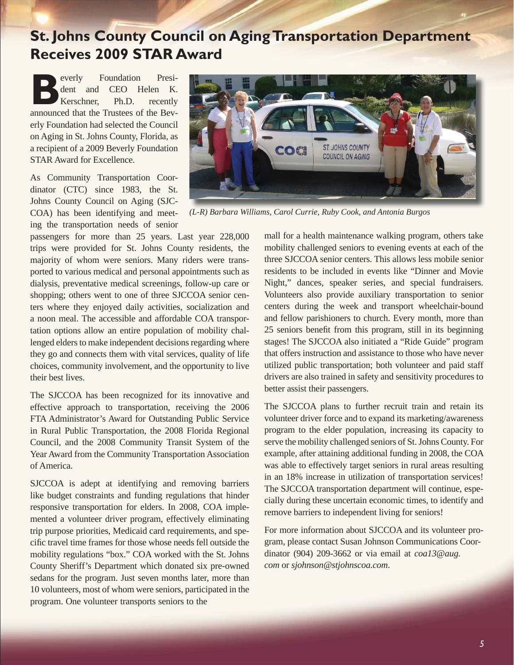# **St. Johns County Council on Aging Transportation Department Receives 2009 STAR Award**

**Beverly Foundation President and CEO Helen K.**<br> **Refshire Ph.D.** recently announced that the Trustees of the Bevdent and CEO Helen K. Kerschner, Ph.D. recently erly Foundation had selected the Council on Aging in St. Johns County, Florida, as a recipient of a 2009 Beverly Foundation STAR Award for Excellence.

As Community Transportation Coordinator (CTC) since 1983, the St. Johns County Council on Aging (SJC-COA) has been identifying and meeting the transportation needs of senior

passengers for more than 25 years. Last year 228,000 trips were provided for St. Johns County residents, the majority of whom were seniors. Many riders were transported to various medical and personal appointments such as dialysis, preventative medical screenings, follow-up care or shopping; others went to one of three SJCCOA senior centers where they enjoyed daily activities, socialization and a noon meal. The accessible and affordable COA transportation options allow an entire population of mobility challenged elders to make independent decisions regarding where they go and connects them with vital services, quality of life choices, community involvement, and the opportunity to live their best lives.

The SJCCOA has been recognized for its innovative and effective approach to transportation, receiving the 2006 FTA Administrator's Award for Outstanding Public Service in Rural Public Transportation, the 2008 Florida Regional Council, and the 2008 Community Transit System of the Year Award from the Community Transportation Association of America.

SJCCOA is adept at identifying and removing barriers like budget constraints and funding regulations that hinder responsive transportation for elders. In 2008, COA implemented a volunteer driver program, effectively eliminating trip purpose priorities, Medicaid card requirements, and specific travel time frames for those whose needs fell outside the mobility regulations "box." COA worked with the St. Johns County Sheriff's Department which donated six pre-owned sedans for the program. Just seven months later, more than 10 volunteers, most of whom were seniors, participated in the program. One volunteer transports seniors to the



*(L-R) Barbara Williams, Carol Currie, Ruby Cook, and Antonia Burgos* 

mall for a health maintenance walking program, others take mobility challenged seniors to evening events at each of the three SJCCOA senior centers. This allows less mobile senior residents to be included in events like "Dinner and Movie Night," dances, speaker series, and special fundraisers. Volunteers also provide auxiliary transportation to senior centers during the week and transport wheelchair-bound and fellow parishioners to church. Every month, more than 25 seniors benefit from this program, still in its beginning stages! The SJCCOA also initiated a "Ride Guide" program that offers instruction and assistance to those who have never utilized public transportation; both volunteer and paid staff drivers are also trained in safety and sensitivity procedures to better assist their passengers.

The SJCCOA plans to further recruit train and retain its volunteer driver force and to expand its marketing/awareness program to the elder population, increasing its capacity to serve the mobility challenged seniors of St. Johns County. For example, after attaining additional funding in 2008, the COA was able to effectively target seniors in rural areas resulting in an 18% increase in utilization of transportation services! The SJCCOA transportation department will continue, especially during these uncertain economic times, to identify and remove barriers to independent living for seniors!

For more information about SJCCOA and its volunteer program, please contact Susan Johnson Communications Coordinator (904) 209-3662 or via email at *[coa13@aug.](mailto:coa13@aug.com) [com](mailto:coa13@aug.com)* or *[sjohnson@stjohnscoa.com](mailto:sjohnson@stjohnscoa.com)*.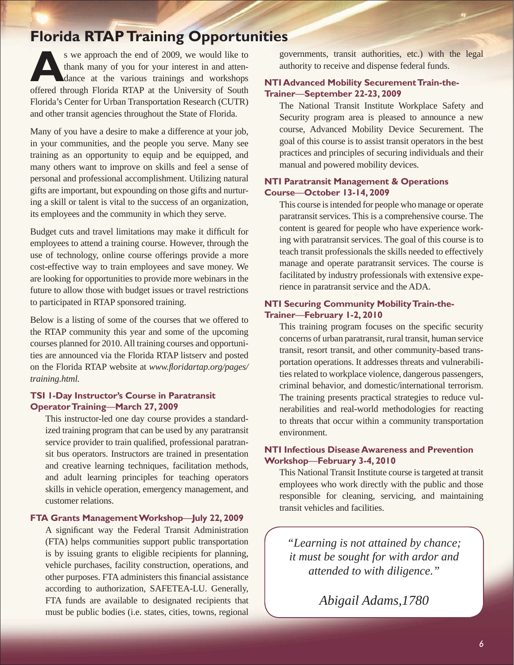# **Florida RTAP Training Opportunities**

s we approach the end of 2009, we would like to<br>thank many of you for your interest in and atten-<br>dance at the various trainings and workshops thank many of you for your interest in and attendance at the various trainings and workshops offered through Florida RTAP at the University of South Florida's Center for Urban Transportation Research (CUTR) and other transit agencies throughout the State of Florida.

Many of you have a desire to make a difference at your job, in your communities, and the people you serve. Many see training as an opportunity to equip and be equipped, and many others want to improve on skills and feel a sense of personal and professional accomplishment. Utilizing natural gifts are important, but expounding on those gifts and nurturing a skill or talent is vital to the success of an organization, its employees and the community in which they serve.

Budget cuts and travel limitations may make it difficult for employees to attend a training course. However, through the use of technology, online course offerings provide a more cost-effective way to train employees and save money. We are looking for opportunities to provide more webinars in the future to allow those with budget issues or travel restrictions to participated in RTAP sponsored training.

Below is a listing of some of the courses that we offered to the RTAP community this year and some of the upcoming courses planned for 2010. All training courses and opportunities are announced via the Florida RTAP listserv and posted on the Florida RTAP website at *www.fl oridartap.org/pages/ training.html.*

#### **TSI 1-Day Instructor's Course in Paratransit Operator Training**—**March 27, 2009**

This instructor-led one day course provides a standardized training program that can be used by any paratransit service provider to train qualified, professional paratransit bus operators. Instructors are trained in presentation and creative learning techniques, facilitation methods, and adult learning principles for teaching operators skills in vehicle operation, emergency management, and customer relations.

### **FTA Grants Management Workshop**—**July 22, 2009**

A significant way the Federal Transit Administration (FTA) helps communities support public transportation is by issuing grants to eligible recipients for planning, vehicle purchases, facility construction, operations, and other purposes. FTA administers this financial assistance according to authorization, SAFETEA-LU. Generally, FTA funds are available to designated recipients that must be public bodies (i.e. states, cities, towns, regional

governments, transit authorities, etc.) with the legal authority to receive and dispense federal funds.

### **NTI Advanced Mobility Securement Train-the-Trainer**—**September 22-23, 2009**

The National Transit Institute Workplace Safety and Security program area is pleased to announce a new course, Advanced Mobility Device Securement. The goal of this course is to assist transit operators in the best practices and principles of securing individuals and their manual and powered mobility devices.

#### **NTI Paratransit Management & Operations Course**—**October 13-14, 2009**

This course is intended for people who manage or operate paratransit services. This is a comprehensive course. The content is geared for people who have experience working with paratransit services. The goal of this course is to teach transit professionals the skills needed to effectively manage and operate paratransit services. The course is facilitated by industry professionals with extensive experience in paratransit service and the ADA.

#### **NTI Securing Community Mobility Train-the-Trainer**—**February 1-2, 2010**

This training program focuses on the specific security concerns of urban paratransit, rural transit, human service transit, resort transit, and other community-based transportation operations. It addresses threats and vulnerabilities related to workplace violence, dangerous passengers, criminal behavior, and domestic/international terrorism. The training presents practical strategies to reduce vulnerabilities and real-world methodologies for reacting to threats that occur within a community transportation environment.

### **NTI Infectious Disease Awareness and Prevention Workshop**—**February 3-4, 2010**

This National Transit Institute course is targeted at transit employees who work directly with the public and those responsible for cleaning, servicing, and maintaining transit vehicles and facilities.

*"Learning is not attained by chance; it must be sought for with ardor and attended to with diligence."*

*Abigail Adams,1780*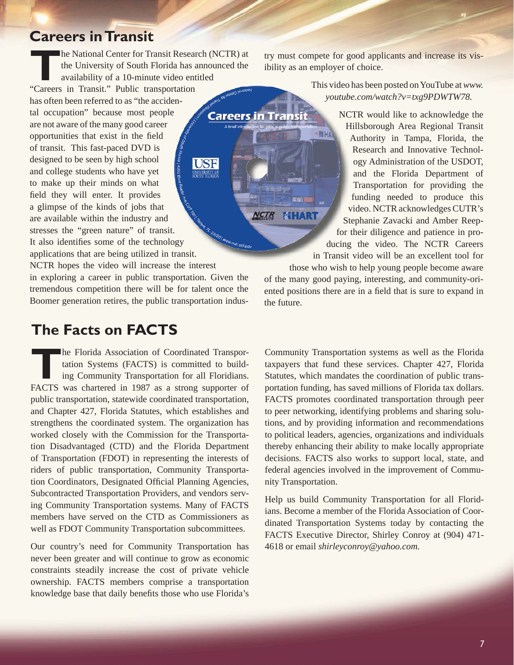### **Careers in Transit**

**The National Center for Transit Research (NCTR) at** the University of South Florida has announced the availability of a 10-minute video entitled "Careers in Transit." Public transportation has often been referred to as "the accidental occupation" because most people are not aware of the many good career opportunities that exist in the field of transit. This fast-paced DVD is designed to be seen by high school and college students who have yet to make up their minds on what field they will enter. It provides a glimpse of the kinds of jobs that are available within the industry and stresses the "green nature" of transit. stresses the "green nature" of transit.<br>It also identifies some of the technology applications that are being utilized in transit. NCTR hopes the video will increase the interest in exploring a career in public transportation. Given the tremendous competition there will be for talent once the This video<br>
Absorption of the Calculation of the Calculation of the Calculation of the Calculation of the Calculation of the Calculation of the Calculation of the Calculation of the Calculation of the Calculation of the Ca This vid<br>
This vid<br>
youth a search conservation of the search of the search of the search of the search of the search of the search of the search of the search of the search of the search of the search of the search of the

## **The Facts on FACTS**

**The Florida Association of Coordinated Transportation Systems (FACTS) is committed to building Community Transportation for all Floridians.** tation Systems (FACTS) is committed to building Community Transportation for all Floridians. FACTS was chartered in 1987 as a strong supporter of public transportation, statewide coordinated transportation, and Chapter 427, Florida Statutes, which establishes and strengthens the coordinated system. The organization has worked closely with the Commission for the Transportation Disadvantaged (CTD) and the Florida Department of Transportation (FDOT) in representing the interests of riders of public transportation, Community Transportation Coordinators, Designated Official Planning Agencies, Subcontracted Transportation Providers, and vendors serving Community Transportation systems. Many of FACTS members have served on the CTD as Commissioners as well as FDOT Community Transportation subcommittees.

Boomer generation retires, the public transportation indus-

Our country's need for Community Transportation has never been greater and will continue to grow as economic constraints steadily increase the cost of private vehicle ownership. FACTS members comprise a transportation knowledge base that daily benefits those who use Florida's

try must compete for good applicants and increase its visibility as an employer of choice.

> This video has been posted on YouTube at *[www.](http://www.youtube.com/watch?v=txg9PDWTW78)* This *[youtube.com/watch?v=txg9PDWTW78.](http://www.youtube.com/watch?v=txg9PDWTW78) tub yout*

> > NCTR would like to acknowledge the Hillsborough Area Regional Transit H Authority in Tampa, Florida, the Research and Innovative Technology Administration of the USDOT, and the Florida Department of Transportation for providing the funding needed to produce this video. NCTR acknowledges CUTR's Stephanie Zavacki and Amber Reep-St for their diligence and patience in pro-

ducing the video. The NCTR Careers in Transit video will be an excellent tool for Transit those who wish to help young people become aware

of the many good paying, interesting, and community-oriented positions there are in a field that is sure to expand in the future.

Community Transportation systems as well as the Florida taxpayers that fund these services. Chapter 427, Florida Statutes, which mandates the coordination of public transportation funding, has saved millions of Florida tax dollars. FACTS promotes coordinated transportation through peer to peer networking, identifying problems and sharing solutions, and by providing information and recommendations to political leaders, agencies, organizations and individuals thereby enhancing their ability to make locally appropriate decisions. FACTS also works to support local, state, and federal agencies involved in the improvement of Community Transportation.

Help us build Community Transportation for all Floridians. Become a member of the Florida Association of Coordinated Transportation Systems today by contacting the FACTS Executive Director, Shirley Conroy at (904) 471- 4618 or email *[shirleyconroy@yahoo.com.](mailto:shirleyconroy@yahoo.com)*